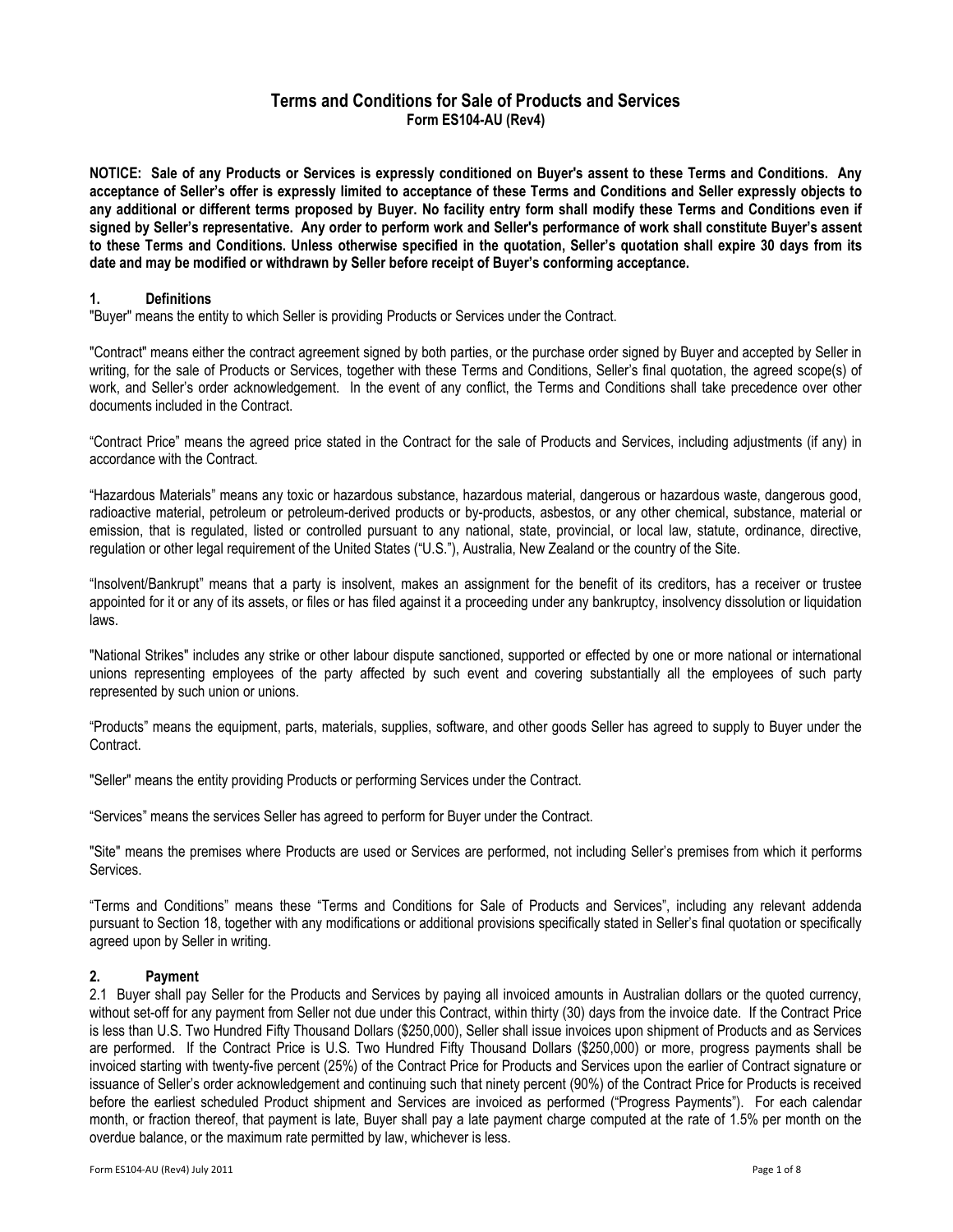# Terms and Conditions for Sale of Products and Services Form ES104-AU (Rev4)

NOTICE: Sale of any Products or Services is expressly conditioned on Buyer's assent to these Terms and Conditions. Any acceptance of Seller's offer is expressly limited to acceptance of these Terms and Conditions and Seller expressly objects to any additional or different terms proposed by Buyer. No facility entry form shall modify these Terms and Conditions even if signed by Seller's representative. Any order to perform work and Seller's performance of work shall constitute Buyer's assent to these Terms and Conditions. Unless otherwise specified in the quotation, Seller's quotation shall expire 30 days from its date and may be modified or withdrawn by Seller before receipt of Buyer's conforming acceptance.

### 1. Definitions

"Buyer" means the entity to which Seller is providing Products or Services under the Contract.

"Contract" means either the contract agreement signed by both parties, or the purchase order signed by Buyer and accepted by Seller in writing, for the sale of Products or Services, together with these Terms and Conditions, Seller's final quotation, the agreed scope(s) of work, and Seller's order acknowledgement. In the event of any conflict, the Terms and Conditions shall take precedence over other documents included in the Contract.

"Contract Price" means the agreed price stated in the Contract for the sale of Products and Services, including adjustments (if any) in accordance with the Contract.

"Hazardous Materials" means any toxic or hazardous substance, hazardous material, dangerous or hazardous waste, dangerous good, radioactive material, petroleum or petroleum-derived products or by-products, asbestos, or any other chemical, substance, material or emission, that is regulated, listed or controlled pursuant to any national, state, provincial, or local law, statute, ordinance, directive, regulation or other legal requirement of the United States ("U.S."), Australia, New Zealand or the country of the Site.

"Insolvent/Bankrupt" means that a party is insolvent, makes an assignment for the benefit of its creditors, has a receiver or trustee appointed for it or any of its assets, or files or has filed against it a proceeding under any bankruptcy, insolvency dissolution or liquidation laws.

"National Strikes" includes any strike or other labour dispute sanctioned, supported or effected by one or more national or international unions representing employees of the party affected by such event and covering substantially all the employees of such party represented by such union or unions.

"Products" means the equipment, parts, materials, supplies, software, and other goods Seller has agreed to supply to Buyer under the Contract.

"Seller" means the entity providing Products or performing Services under the Contract.

"Services" means the services Seller has agreed to perform for Buyer under the Contract.

"Site" means the premises where Products are used or Services are performed, not including Seller's premises from which it performs Services.

"Terms and Conditions" means these "Terms and Conditions for Sale of Products and Services", including any relevant addenda pursuant to Section 18, together with any modifications or additional provisions specifically stated in Seller's final quotation or specifically agreed upon by Seller in writing.

## 2. Payment

2.1 Buyer shall pay Seller for the Products and Services by paying all invoiced amounts in Australian dollars or the quoted currency, without set-off for any payment from Seller not due under this Contract, within thirty (30) days from the invoice date. If the Contract Price is less than U.S. Two Hundred Fifty Thousand Dollars (\$250,000), Seller shall issue invoices upon shipment of Products and as Services are performed. If the Contract Price is U.S. Two Hundred Fifty Thousand Dollars (\$250,000) or more, progress payments shall be invoiced starting with twenty-five percent (25%) of the Contract Price for Products and Services upon the earlier of Contract signature or issuance of Seller's order acknowledgement and continuing such that ninety percent (90%) of the Contract Price for Products is received before the earliest scheduled Product shipment and Services are invoiced as performed ("Progress Payments"). For each calendar month, or fraction thereof, that payment is late, Buyer shall pay a late payment charge computed at the rate of 1.5% per month on the overdue balance, or the maximum rate permitted by law, whichever is less.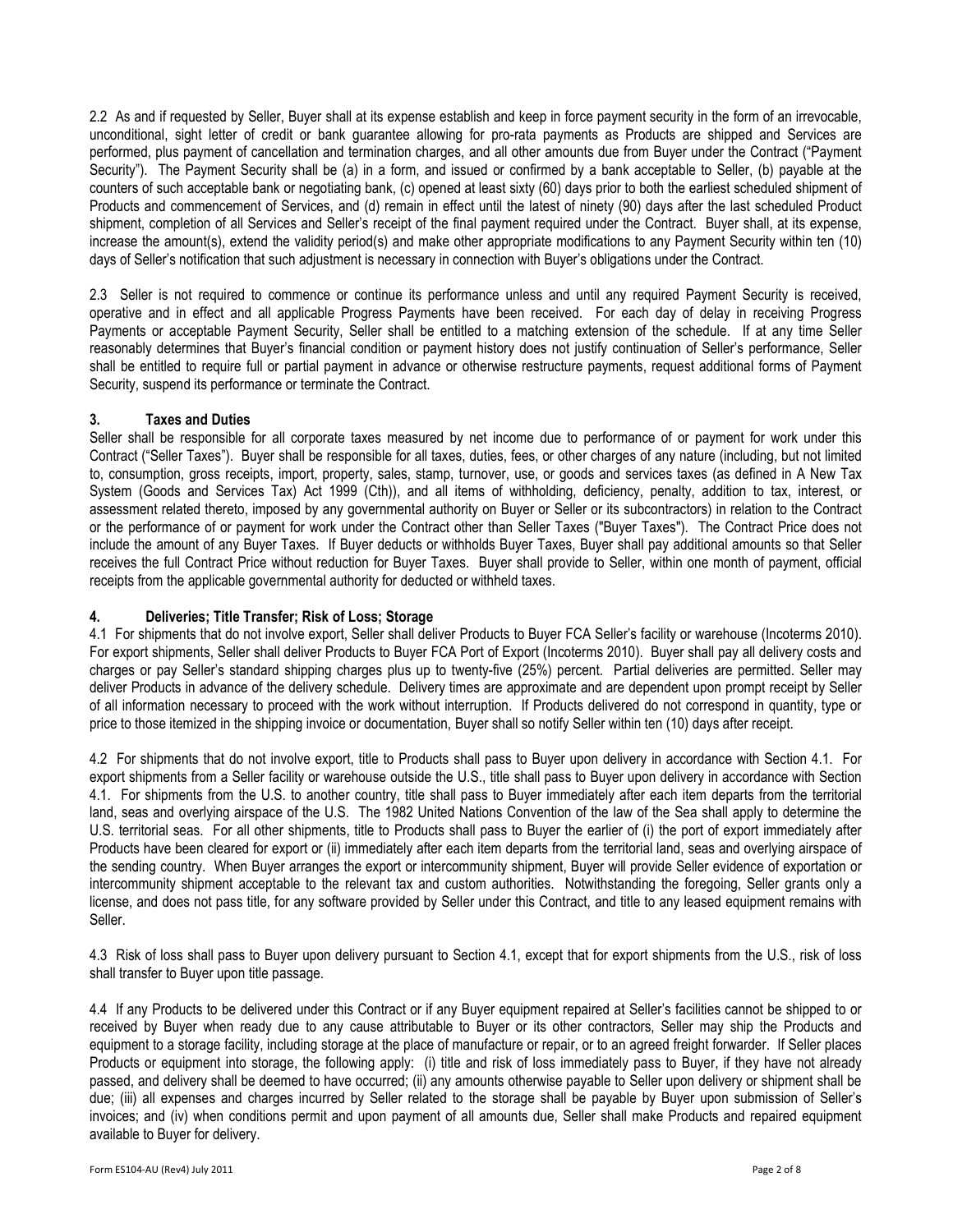2.2 As and if requested by Seller, Buyer shall at its expense establish and keep in force payment security in the form of an irrevocable, unconditional, sight letter of credit or bank guarantee allowing for pro-rata payments as Products are shipped and Services are performed, plus payment of cancellation and termination charges, and all other amounts due from Buyer under the Contract ("Payment Security"). The Payment Security shall be (a) in a form, and issued or confirmed by a bank acceptable to Seller, (b) payable at the counters of such acceptable bank or negotiating bank, (c) opened at least sixty (60) days prior to both the earliest scheduled shipment of Products and commencement of Services, and (d) remain in effect until the latest of ninety (90) days after the last scheduled Product shipment, completion of all Services and Seller's receipt of the final payment required under the Contract. Buyer shall, at its expense, increase the amount(s), extend the validity period(s) and make other appropriate modifications to any Payment Security within ten (10) days of Seller's notification that such adjustment is necessary in connection with Buyer's obligations under the Contract.

2.3 Seller is not required to commence or continue its performance unless and until any required Payment Security is received, operative and in effect and all applicable Progress Payments have been received. For each day of delay in receiving Progress Payments or acceptable Payment Security, Seller shall be entitled to a matching extension of the schedule. If at any time Seller reasonably determines that Buyer's financial condition or payment history does not justify continuation of Seller's performance, Seller shall be entitled to require full or partial payment in advance or otherwise restructure payments, request additional forms of Payment Security, suspend its performance or terminate the Contract.

## 3. Taxes and Duties

Seller shall be responsible for all corporate taxes measured by net income due to performance of or payment for work under this Contract ("Seller Taxes"). Buyer shall be responsible for all taxes, duties, fees, or other charges of any nature (including, but not limited to, consumption, gross receipts, import, property, sales, stamp, turnover, use, or goods and services taxes (as defined in A New Tax System (Goods and Services Tax) Act 1999 (Cth)), and all items of withholding, deficiency, penalty, addition to tax, interest, or assessment related thereto, imposed by any governmental authority on Buyer or Seller or its subcontractors) in relation to the Contract or the performance of or payment for work under the Contract other than Seller Taxes ("Buyer Taxes"). The Contract Price does not include the amount of any Buyer Taxes. If Buyer deducts or withholds Buyer Taxes, Buyer shall pay additional amounts so that Seller receives the full Contract Price without reduction for Buyer Taxes. Buyer shall provide to Seller, within one month of payment, official receipts from the applicable governmental authority for deducted or withheld taxes.

#### 4. Deliveries; Title Transfer; Risk of Loss; Storage

4.1 For shipments that do not involve export, Seller shall deliver Products to Buyer FCA Seller's facility or warehouse (Incoterms 2010). For export shipments, Seller shall deliver Products to Buyer FCA Port of Export (Incoterms 2010). Buyer shall pay all delivery costs and charges or pay Seller's standard shipping charges plus up to twenty-five (25%) percent. Partial deliveries are permitted. Seller may deliver Products in advance of the delivery schedule. Delivery times are approximate and are dependent upon prompt receipt by Seller of all information necessary to proceed with the work without interruption. If Products delivered do not correspond in quantity, type or price to those itemized in the shipping invoice or documentation, Buyer shall so notify Seller within ten (10) days after receipt.

4.2 For shipments that do not involve export, title to Products shall pass to Buyer upon delivery in accordance with Section 4.1. For export shipments from a Seller facility or warehouse outside the U.S., title shall pass to Buyer upon delivery in accordance with Section 4.1. For shipments from the U.S. to another country, title shall pass to Buyer immediately after each item departs from the territorial land, seas and overlying airspace of the U.S. The 1982 United Nations Convention of the law of the Sea shall apply to determine the U.S. territorial seas. For all other shipments, title to Products shall pass to Buyer the earlier of (i) the port of export immediately after Products have been cleared for export or (ii) immediately after each item departs from the territorial land, seas and overlying airspace of the sending country. When Buyer arranges the export or intercommunity shipment, Buyer will provide Seller evidence of exportation or intercommunity shipment acceptable to the relevant tax and custom authorities. Notwithstanding the foregoing, Seller grants only a license, and does not pass title, for any software provided by Seller under this Contract, and title to any leased equipment remains with Seller.

4.3 Risk of loss shall pass to Buyer upon delivery pursuant to Section 4.1, except that for export shipments from the U.S., risk of loss shall transfer to Buyer upon title passage.

4.4 If any Products to be delivered under this Contract or if any Buyer equipment repaired at Seller's facilities cannot be shipped to or received by Buyer when ready due to any cause attributable to Buyer or its other contractors, Seller may ship the Products and equipment to a storage facility, including storage at the place of manufacture or repair, or to an agreed freight forwarder. If Seller places Products or equipment into storage, the following apply: (i) title and risk of loss immediately pass to Buyer, if they have not already passed, and delivery shall be deemed to have occurred; (ii) any amounts otherwise payable to Seller upon delivery or shipment shall be due; (iii) all expenses and charges incurred by Seller related to the storage shall be payable by Buyer upon submission of Seller's invoices; and (iv) when conditions permit and upon payment of all amounts due, Seller shall make Products and repaired equipment available to Buyer for delivery.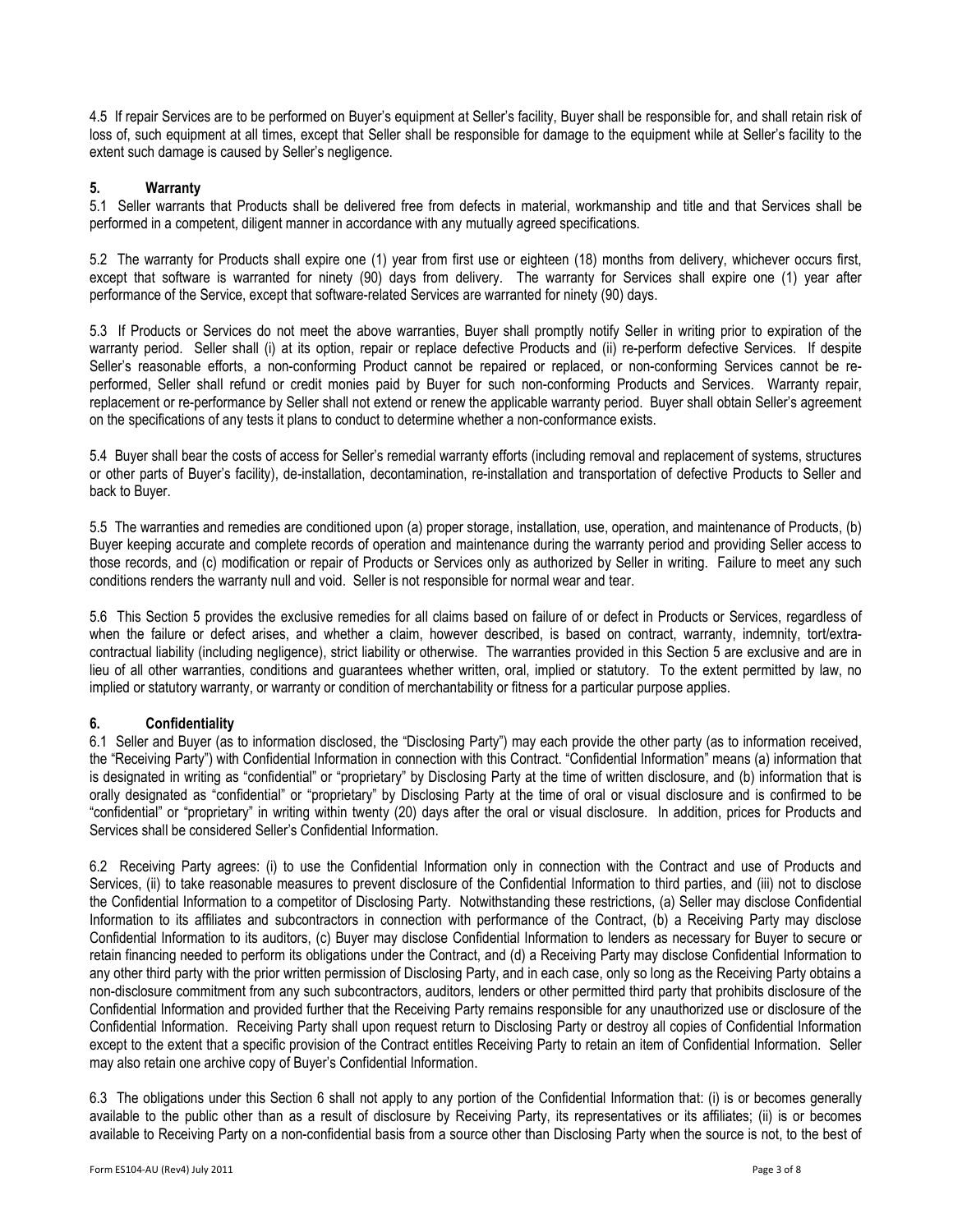4.5 If repair Services are to be performed on Buyer's equipment at Seller's facility, Buyer shall be responsible for, and shall retain risk of loss of, such equipment at all times, except that Seller shall be responsible for damage to the equipment while at Seller's facility to the extent such damage is caused by Seller's negligence.

## 5. Warranty

5.1 Seller warrants that Products shall be delivered free from defects in material, workmanship and title and that Services shall be performed in a competent, diligent manner in accordance with any mutually agreed specifications.

5.2 The warranty for Products shall expire one (1) year from first use or eighteen (18) months from delivery, whichever occurs first, except that software is warranted for ninety (90) days from delivery. The warranty for Services shall expire one (1) year after performance of the Service, except that software-related Services are warranted for ninety (90) days.

5.3 If Products or Services do not meet the above warranties, Buyer shall promptly notify Seller in writing prior to expiration of the warranty period. Seller shall (i) at its option, repair or replace defective Products and (ii) re-perform defective Services. If despite Seller's reasonable efforts, a non-conforming Product cannot be repaired or replaced, or non-conforming Services cannot be reperformed, Seller shall refund or credit monies paid by Buyer for such non-conforming Products and Services. Warranty repair, replacement or re-performance by Seller shall not extend or renew the applicable warranty period. Buyer shall obtain Seller's agreement on the specifications of any tests it plans to conduct to determine whether a non-conformance exists.

5.4 Buyer shall bear the costs of access for Seller's remedial warranty efforts (including removal and replacement of systems, structures or other parts of Buyer's facility), de-installation, decontamination, re-installation and transportation of defective Products to Seller and back to Buyer.

5.5 The warranties and remedies are conditioned upon (a) proper storage, installation, use, operation, and maintenance of Products, (b) Buyer keeping accurate and complete records of operation and maintenance during the warranty period and providing Seller access to those records, and (c) modification or repair of Products or Services only as authorized by Seller in writing. Failure to meet any such conditions renders the warranty null and void. Seller is not responsible for normal wear and tear.

5.6 This Section 5 provides the exclusive remedies for all claims based on failure of or defect in Products or Services, regardless of when the failure or defect arises, and whether a claim, however described, is based on contract, warranty, indemnity, tort/extracontractual liability (including negligence), strict liability or otherwise. The warranties provided in this Section 5 are exclusive and are in lieu of all other warranties, conditions and guarantees whether written, oral, implied or statutory. To the extent permitted by law, no implied or statutory warranty, or warranty or condition of merchantability or fitness for a particular purpose applies.

## 6. Confidentiality

6.1 Seller and Buyer (as to information disclosed, the "Disclosing Party") may each provide the other party (as to information received, the "Receiving Party") with Confidential Information in connection with this Contract. "Confidential Information" means (a) information that is designated in writing as "confidential" or "proprietary" by Disclosing Party at the time of written disclosure, and (b) information that is orally designated as "confidential" or "proprietary" by Disclosing Party at the time of oral or visual disclosure and is confirmed to be "confidential" or "proprietary" in writing within twenty (20) days after the oral or visual disclosure. In addition, prices for Products and Services shall be considered Seller's Confidential Information.

6.2 Receiving Party agrees: (i) to use the Confidential Information only in connection with the Contract and use of Products and Services, (ii) to take reasonable measures to prevent disclosure of the Confidential Information to third parties, and (iii) not to disclose the Confidential Information to a competitor of Disclosing Party. Notwithstanding these restrictions, (a) Seller may disclose Confidential Information to its affiliates and subcontractors in connection with performance of the Contract, (b) a Receiving Party may disclose Confidential Information to its auditors, (c) Buyer may disclose Confidential Information to lenders as necessary for Buyer to secure or retain financing needed to perform its obligations under the Contract, and (d) a Receiving Party may disclose Confidential Information to any other third party with the prior written permission of Disclosing Party, and in each case, only so long as the Receiving Party obtains a non-disclosure commitment from any such subcontractors, auditors, lenders or other permitted third party that prohibits disclosure of the Confidential Information and provided further that the Receiving Party remains responsible for any unauthorized use or disclosure of the Confidential Information. Receiving Party shall upon request return to Disclosing Party or destroy all copies of Confidential Information except to the extent that a specific provision of the Contract entitles Receiving Party to retain an item of Confidential Information. Seller may also retain one archive copy of Buyer's Confidential Information.

6.3 The obligations under this Section 6 shall not apply to any portion of the Confidential Information that: (i) is or becomes generally available to the public other than as a result of disclosure by Receiving Party, its representatives or its affiliates; (ii) is or becomes available to Receiving Party on a non-confidential basis from a source other than Disclosing Party when the source is not, to the best of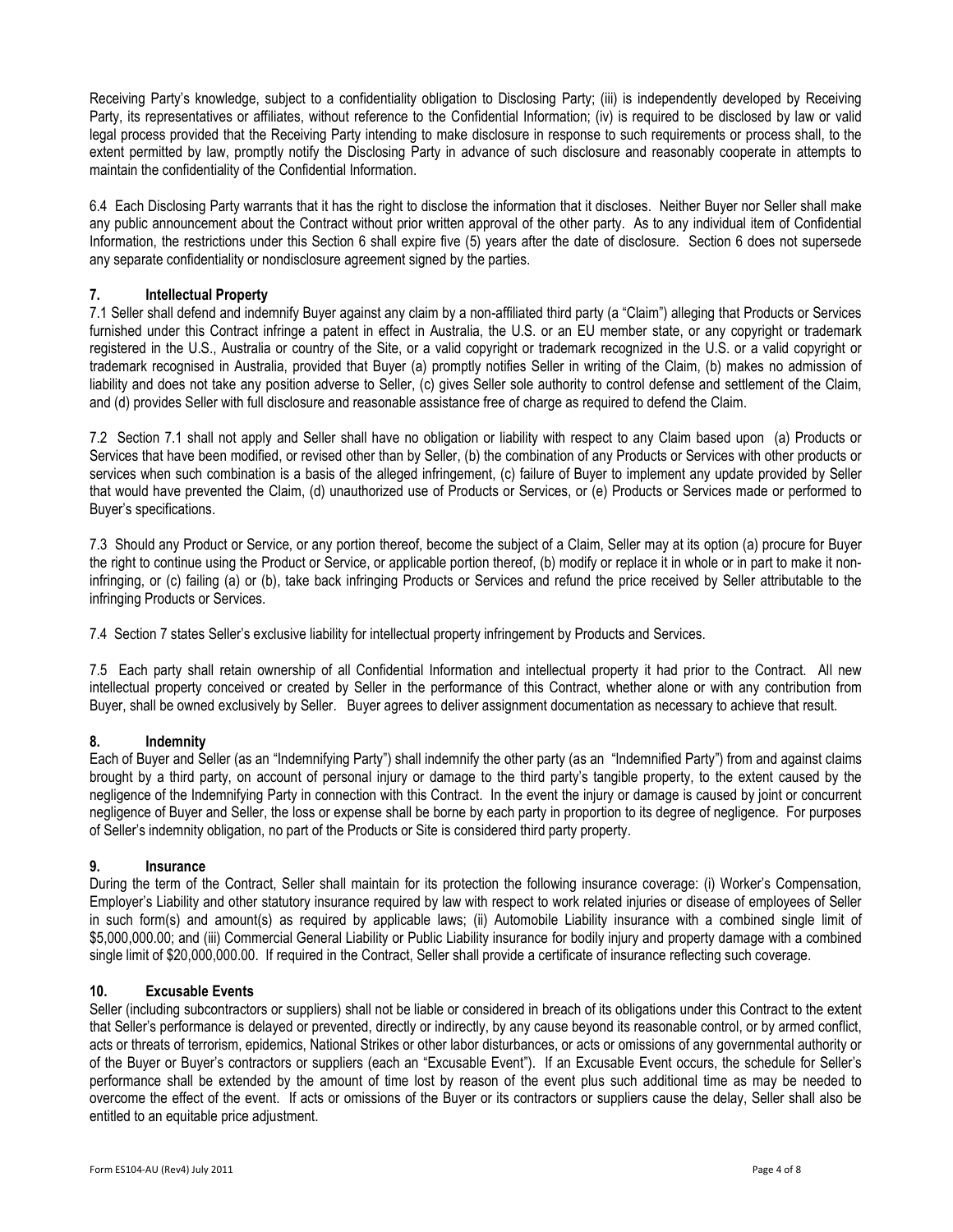Receiving Party's knowledge, subject to a confidentiality obligation to Disclosing Party; (iii) is independently developed by Receiving Party, its representatives or affiliates, without reference to the Confidential Information; (iv) is required to be disclosed by law or valid legal process provided that the Receiving Party intending to make disclosure in response to such requirements or process shall, to the extent permitted by law, promptly notify the Disclosing Party in advance of such disclosure and reasonably cooperate in attempts to maintain the confidentiality of the Confidential Information.

6.4 Each Disclosing Party warrants that it has the right to disclose the information that it discloses. Neither Buyer nor Seller shall make any public announcement about the Contract without prior written approval of the other party. As to any individual item of Confidential Information, the restrictions under this Section 6 shall expire five (5) years after the date of disclosure. Section 6 does not supersede any separate confidentiality or nondisclosure agreement signed by the parties.

## 7. Intellectual Property

7.1 Seller shall defend and indemnify Buyer against any claim by a non-affiliated third party (a "Claim") alleging that Products or Services furnished under this Contract infringe a patent in effect in Australia, the U.S. or an EU member state, or any copyright or trademark registered in the U.S., Australia or country of the Site, or a valid copyright or trademark recognized in the U.S. or a valid copyright or trademark recognised in Australia, provided that Buyer (a) promptly notifies Seller in writing of the Claim, (b) makes no admission of liability and does not take any position adverse to Seller, (c) gives Seller sole authority to control defense and settlement of the Claim, and (d) provides Seller with full disclosure and reasonable assistance free of charge as required to defend the Claim.

7.2 Section 7.1 shall not apply and Seller shall have no obligation or liability with respect to any Claim based upon (a) Products or Services that have been modified, or revised other than by Seller, (b) the combination of any Products or Services with other products or services when such combination is a basis of the alleged infringement, (c) failure of Buyer to implement any update provided by Seller that would have prevented the Claim, (d) unauthorized use of Products or Services, or (e) Products or Services made or performed to Buyer's specifications.

7.3 Should any Product or Service, or any portion thereof, become the subject of a Claim, Seller may at its option (a) procure for Buyer the right to continue using the Product or Service, or applicable portion thereof, (b) modify or replace it in whole or in part to make it noninfringing, or (c) failing (a) or (b), take back infringing Products or Services and refund the price received by Seller attributable to the infringing Products or Services.

7.4 Section 7 states Seller's exclusive liability for intellectual property infringement by Products and Services.

7.5 Each party shall retain ownership of all Confidential Information and intellectual property it had prior to the Contract. All new intellectual property conceived or created by Seller in the performance of this Contract, whether alone or with any contribution from Buyer, shall be owned exclusively by Seller. Buyer agrees to deliver assignment documentation as necessary to achieve that result.

## 8. Indemnity

Each of Buyer and Seller (as an "Indemnifying Party") shall indemnify the other party (as an "Indemnified Party") from and against claims brought by a third party, on account of personal injury or damage to the third party's tangible property, to the extent caused by the negligence of the Indemnifying Party in connection with this Contract. In the event the injury or damage is caused by joint or concurrent negligence of Buyer and Seller, the loss or expense shall be borne by each party in proportion to its degree of negligence. For purposes of Seller's indemnity obligation, no part of the Products or Site is considered third party property.

## 9. Insurance

During the term of the Contract, Seller shall maintain for its protection the following insurance coverage: (i) Worker's Compensation, Employer's Liability and other statutory insurance required by law with respect to work related injuries or disease of employees of Seller in such form(s) and amount(s) as required by applicable laws; (ii) Automobile Liability insurance with a combined single limit of \$5,000,000.00; and (iii) Commercial General Liability or Public Liability insurance for bodily injury and property damage with a combined single limit of \$20,000,000.00. If required in the Contract, Seller shall provide a certificate of insurance reflecting such coverage.

## 10. Excusable Events

Seller (including subcontractors or suppliers) shall not be liable or considered in breach of its obligations under this Contract to the extent that Seller's performance is delayed or prevented, directly or indirectly, by any cause beyond its reasonable control, or by armed conflict, acts or threats of terrorism, epidemics, National Strikes or other labor disturbances, or acts or omissions of any governmental authority or of the Buyer or Buyer's contractors or suppliers (each an "Excusable Event"). If an Excusable Event occurs, the schedule for Seller's performance shall be extended by the amount of time lost by reason of the event plus such additional time as may be needed to overcome the effect of the event. If acts or omissions of the Buyer or its contractors or suppliers cause the delay, Seller shall also be entitled to an equitable price adjustment.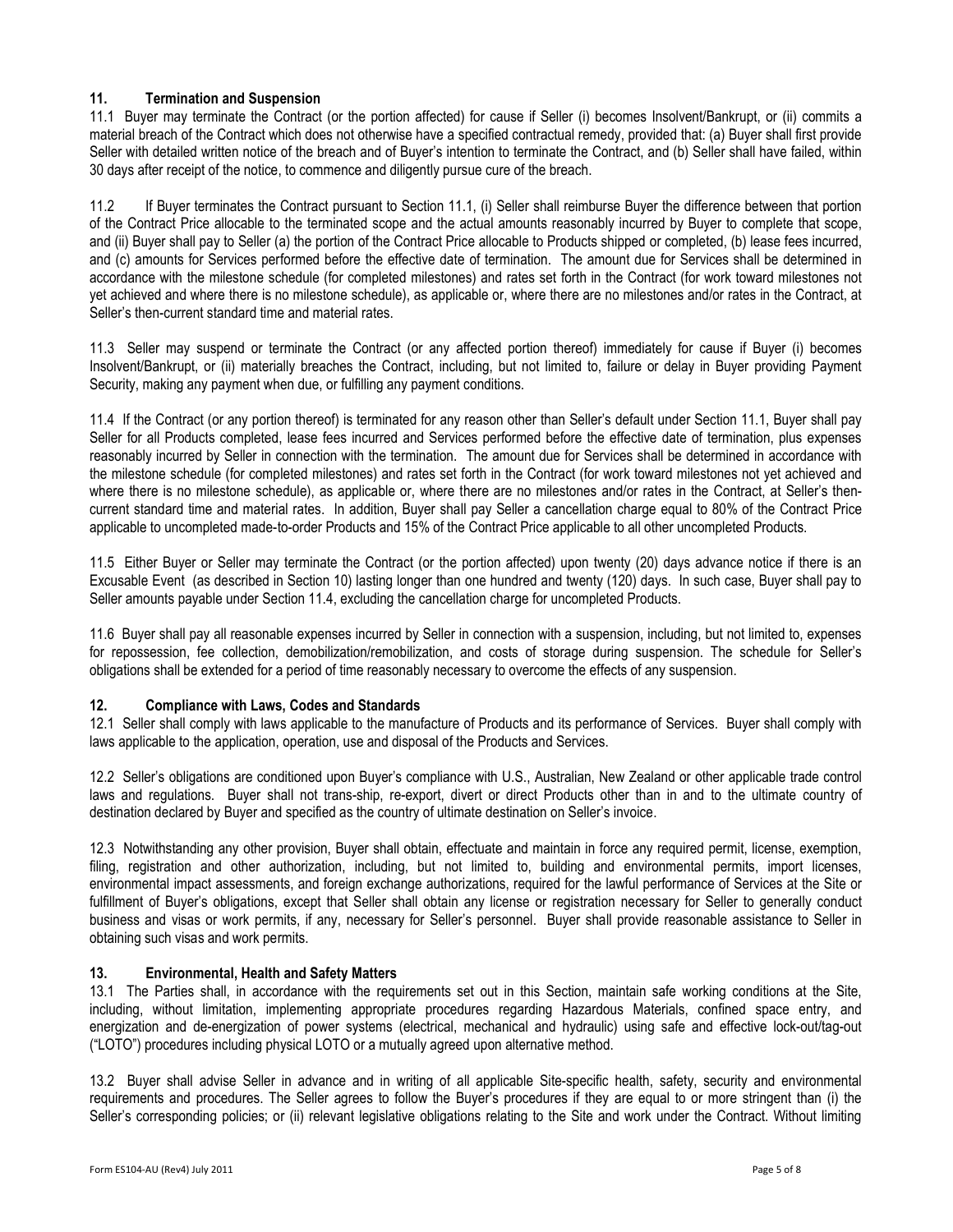## 11. Termination and Suspension

11.1 Buyer may terminate the Contract (or the portion affected) for cause if Seller (i) becomes Insolvent/Bankrupt, or (ii) commits a material breach of the Contract which does not otherwise have a specified contractual remedy, provided that: (a) Buyer shall first provide Seller with detailed written notice of the breach and of Buyer's intention to terminate the Contract, and (b) Seller shall have failed, within 30 days after receipt of the notice, to commence and diligently pursue cure of the breach.

11.2 If Buyer terminates the Contract pursuant to Section 11.1, (i) Seller shall reimburse Buyer the difference between that portion of the Contract Price allocable to the terminated scope and the actual amounts reasonably incurred by Buyer to complete that scope, and (ii) Buyer shall pay to Seller (a) the portion of the Contract Price allocable to Products shipped or completed, (b) lease fees incurred, and (c) amounts for Services performed before the effective date of termination. The amount due for Services shall be determined in accordance with the milestone schedule (for completed milestones) and rates set forth in the Contract (for work toward milestones not yet achieved and where there is no milestone schedule), as applicable or, where there are no milestones and/or rates in the Contract, at Seller's then-current standard time and material rates.

11.3 Seller may suspend or terminate the Contract (or any affected portion thereof) immediately for cause if Buyer (i) becomes Insolvent/Bankrupt, or (ii) materially breaches the Contract, including, but not limited to, failure or delay in Buyer providing Payment Security, making any payment when due, or fulfilling any payment conditions.

11.4 If the Contract (or any portion thereof) is terminated for any reason other than Seller's default under Section 11.1, Buyer shall pay Seller for all Products completed, lease fees incurred and Services performed before the effective date of termination, plus expenses reasonably incurred by Seller in connection with the termination. The amount due for Services shall be determined in accordance with the milestone schedule (for completed milestones) and rates set forth in the Contract (for work toward milestones not yet achieved and where there is no milestone schedule), as applicable or, where there are no milestones and/or rates in the Contract, at Seller's thencurrent standard time and material rates. In addition, Buyer shall pay Seller a cancellation charge equal to 80% of the Contract Price applicable to uncompleted made-to-order Products and 15% of the Contract Price applicable to all other uncompleted Products.

11.5 Either Buyer or Seller may terminate the Contract (or the portion affected) upon twenty (20) days advance notice if there is an Excusable Event (as described in Section 10) lasting longer than one hundred and twenty (120) days. In such case, Buyer shall pay to Seller amounts payable under Section 11.4, excluding the cancellation charge for uncompleted Products.

11.6 Buyer shall pay all reasonable expenses incurred by Seller in connection with a suspension, including, but not limited to, expenses for repossession, fee collection, demobilization/remobilization, and costs of storage during suspension. The schedule for Seller's obligations shall be extended for a period of time reasonably necessary to overcome the effects of any suspension.

## 12. Compliance with Laws, Codes and Standards

12.1 Seller shall comply with laws applicable to the manufacture of Products and its performance of Services. Buyer shall comply with laws applicable to the application, operation, use and disposal of the Products and Services.

12.2 Seller's obligations are conditioned upon Buyer's compliance with U.S., Australian, New Zealand or other applicable trade control laws and regulations. Buyer shall not trans-ship, re-export, divert or direct Products other than in and to the ultimate country of destination declared by Buyer and specified as the country of ultimate destination on Seller's invoice.

12.3 Notwithstanding any other provision, Buyer shall obtain, effectuate and maintain in force any required permit, license, exemption, filing, registration and other authorization, including, but not limited to, building and environmental permits, import licenses, environmental impact assessments, and foreign exchange authorizations, required for the lawful performance of Services at the Site or fulfillment of Buyer's obligations, except that Seller shall obtain any license or registration necessary for Seller to generally conduct business and visas or work permits, if any, necessary for Seller's personnel. Buyer shall provide reasonable assistance to Seller in obtaining such visas and work permits.

## 13. Environmental, Health and Safety Matters

13.1 The Parties shall, in accordance with the requirements set out in this Section, maintain safe working conditions at the Site, including, without limitation, implementing appropriate procedures regarding Hazardous Materials, confined space entry, and energization and de-energization of power systems (electrical, mechanical and hydraulic) using safe and effective lock-out/tag-out ("LOTO") procedures including physical LOTO or a mutually agreed upon alternative method.

13.2 Buyer shall advise Seller in advance and in writing of all applicable Site-specific health, safety, security and environmental requirements and procedures. The Seller agrees to follow the Buyer's procedures if they are equal to or more stringent than (i) the Seller's corresponding policies; or (ii) relevant legislative obligations relating to the Site and work under the Contract. Without limiting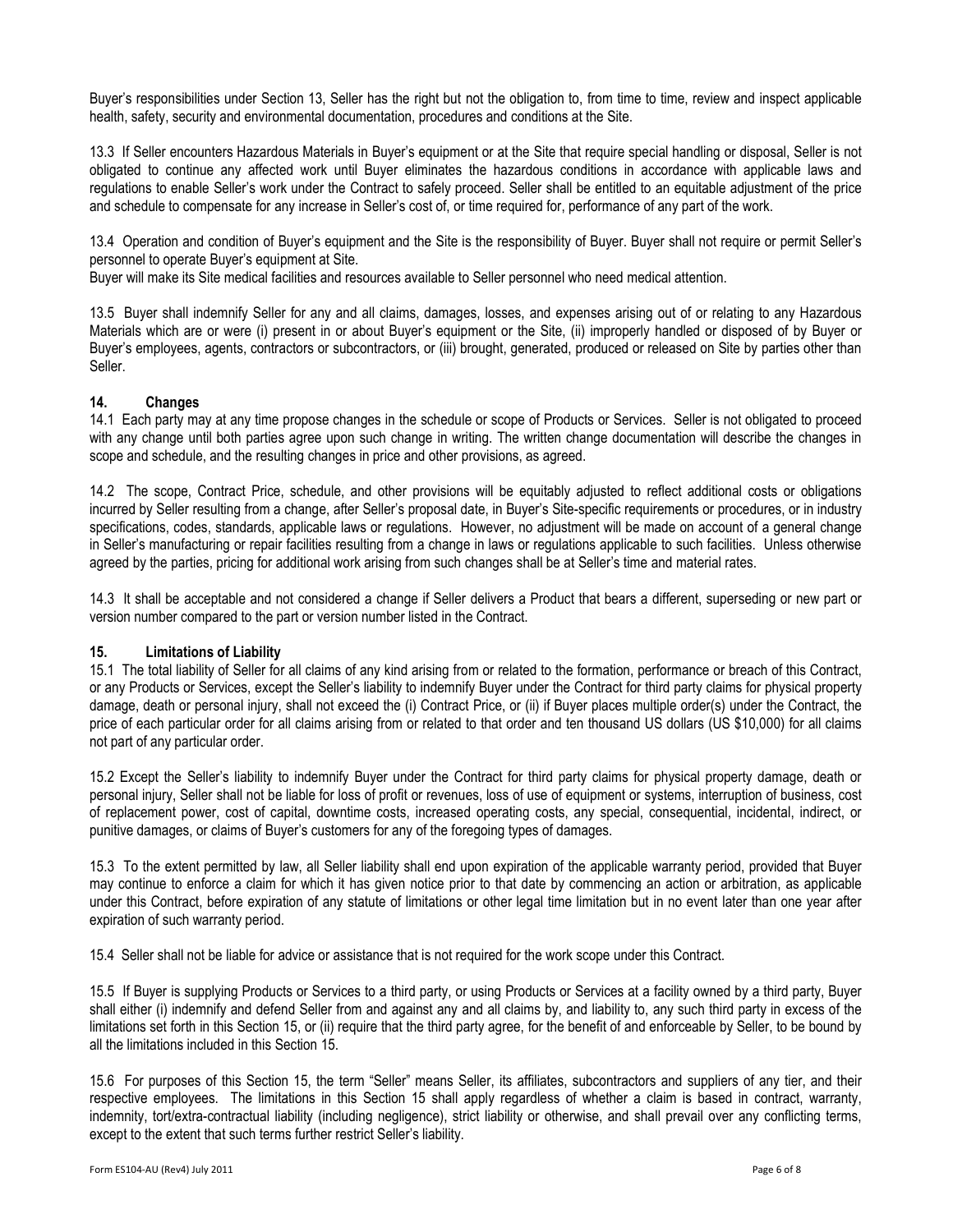Buyer's responsibilities under Section 13. Seller has the right but not the obligation to, from time to time, review and inspect applicable health, safety, security and environmental documentation, procedures and conditions at the Site.

13.3 If Seller encounters Hazardous Materials in Buyer's equipment or at the Site that require special handling or disposal, Seller is not obligated to continue any affected work until Buyer eliminates the hazardous conditions in accordance with applicable laws and regulations to enable Seller's work under the Contract to safely proceed. Seller shall be entitled to an equitable adjustment of the price and schedule to compensate for any increase in Seller's cost of, or time required for, performance of any part of the work.

13.4 Operation and condition of Buyer's equipment and the Site is the responsibility of Buyer. Buyer shall not require or permit Seller's personnel to operate Buyer's equipment at Site.

Buyer will make its Site medical facilities and resources available to Seller personnel who need medical attention.

13.5 Buyer shall indemnify Seller for any and all claims, damages, losses, and expenses arising out of or relating to any Hazardous Materials which are or were (i) present in or about Buyer's equipment or the Site, (ii) improperly handled or disposed of by Buyer or Buyer's employees, agents, contractors or subcontractors, or (iii) brought, generated, produced or released on Site by parties other than Seller.

## 14. Changes

14.1 Each party may at any time propose changes in the schedule or scope of Products or Services. Seller is not obligated to proceed with any change until both parties agree upon such change in writing. The written change documentation will describe the changes in scope and schedule, and the resulting changes in price and other provisions, as agreed.

14.2 The scope, Contract Price, schedule, and other provisions will be equitably adjusted to reflect additional costs or obligations incurred by Seller resulting from a change, after Seller's proposal date, in Buyer's Site-specific requirements or procedures, or in industry specifications, codes, standards, applicable laws or regulations. However, no adjustment will be made on account of a general change in Seller's manufacturing or repair facilities resulting from a change in laws or regulations applicable to such facilities. Unless otherwise agreed by the parties, pricing for additional work arising from such changes shall be at Seller's time and material rates.

14.3 It shall be acceptable and not considered a change if Seller delivers a Product that bears a different, superseding or new part or version number compared to the part or version number listed in the Contract.

#### 15. Limitations of Liability

15.1 The total liability of Seller for all claims of any kind arising from or related to the formation, performance or breach of this Contract, or any Products or Services, except the Seller's liability to indemnify Buyer under the Contract for third party claims for physical property damage, death or personal injury, shall not exceed the (i) Contract Price, or (ii) if Buyer places multiple order(s) under the Contract, the price of each particular order for all claims arising from or related to that order and ten thousand US dollars (US \$10,000) for all claims not part of any particular order.

15.2 Except the Seller's liability to indemnify Buyer under the Contract for third party claims for physical property damage, death or personal injury, Seller shall not be liable for loss of profit or revenues, loss of use of equipment or systems, interruption of business, cost of replacement power, cost of capital, downtime costs, increased operating costs, any special, consequential, incidental, indirect, or punitive damages, or claims of Buyer's customers for any of the foregoing types of damages.

15.3 To the extent permitted by law, all Seller liability shall end upon expiration of the applicable warranty period, provided that Buyer may continue to enforce a claim for which it has given notice prior to that date by commencing an action or arbitration, as applicable under this Contract, before expiration of any statute of limitations or other legal time limitation but in no event later than one year after expiration of such warranty period.

15.4 Seller shall not be liable for advice or assistance that is not required for the work scope under this Contract.

15.5 If Buyer is supplying Products or Services to a third party, or using Products or Services at a facility owned by a third party, Buyer shall either (i) indemnify and defend Seller from and against any and all claims by, and liability to, any such third party in excess of the limitations set forth in this Section 15, or (ii) require that the third party agree, for the benefit of and enforceable by Seller, to be bound by all the limitations included in this Section 15.

15.6 For purposes of this Section 15, the term "Seller" means Seller, its affiliates, subcontractors and suppliers of any tier, and their respective employees. The limitations in this Section 15 shall apply regardless of whether a claim is based in contract, warranty, indemnity, tort/extra-contractual liability (including negligence), strict liability or otherwise, and shall prevail over any conflicting terms, except to the extent that such terms further restrict Seller's liability.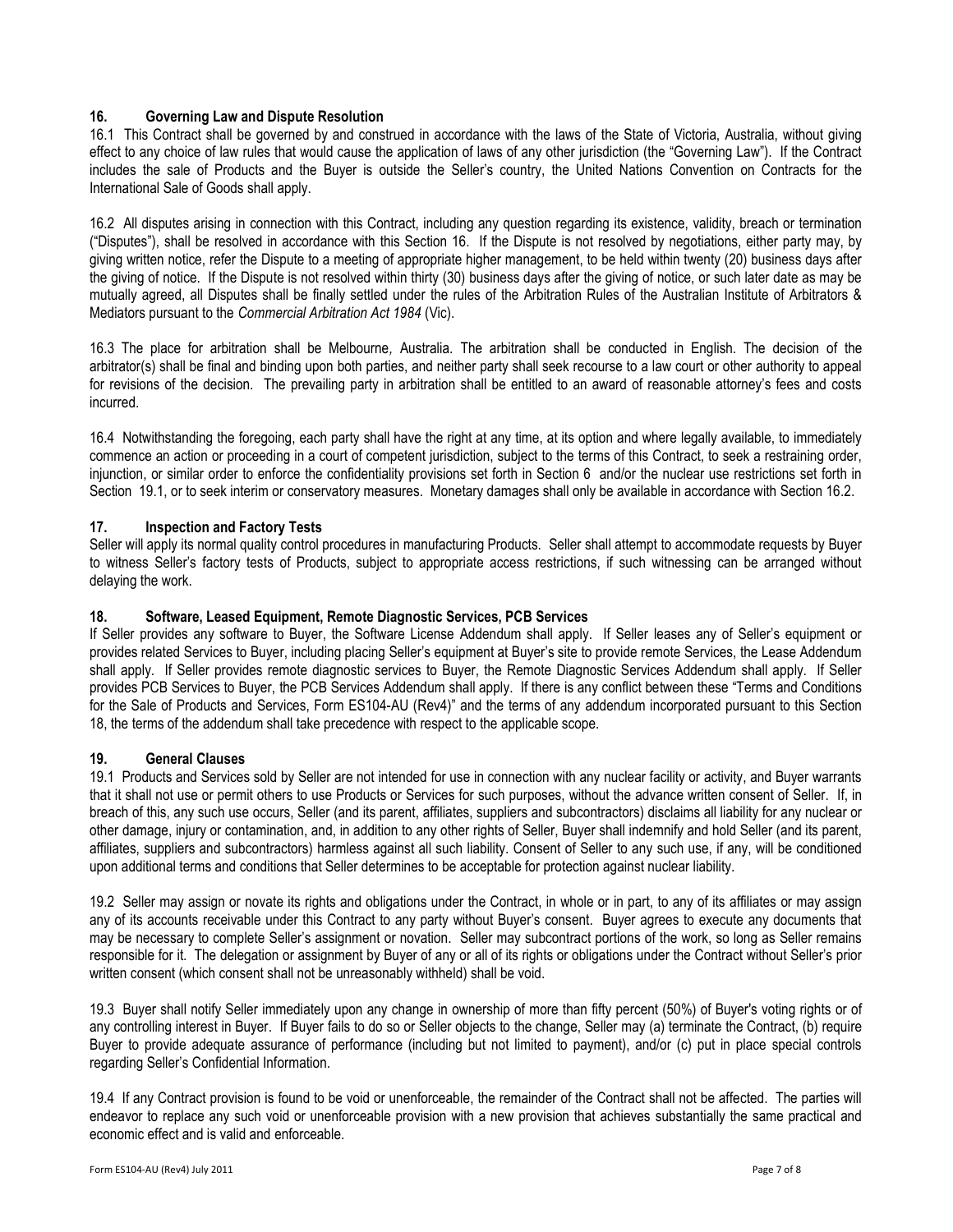### 16. Governing Law and Dispute Resolution

16.1 This Contract shall be governed by and construed in accordance with the laws of the State of Victoria, Australia, without giving effect to any choice of law rules that would cause the application of laws of any other jurisdiction (the "Governing Law"). If the Contract includes the sale of Products and the Buyer is outside the Seller's country, the United Nations Convention on Contracts for the International Sale of Goods shall apply.

16.2 All disputes arising in connection with this Contract, including any question regarding its existence, validity, breach or termination ("Disputes"), shall be resolved in accordance with this Section 16. If the Dispute is not resolved by negotiations, either party may, by giving written notice, refer the Dispute to a meeting of appropriate higher management, to be held within twenty (20) business days after the giving of notice. If the Dispute is not resolved within thirty (30) business days after the giving of notice, or such later date as may be mutually agreed, all Disputes shall be finally settled under the rules of the Arbitration Rules of the Australian Institute of Arbitrators & Mediators pursuant to the Commercial Arbitration Act 1984 (Vic).

16.3 The place for arbitration shall be Melbourne, Australia. The arbitration shall be conducted in English. The decision of the arbitrator(s) shall be final and binding upon both parties, and neither party shall seek recourse to a law court or other authority to appeal for revisions of the decision. The prevailing party in arbitration shall be entitled to an award of reasonable attorney's fees and costs incurred.

16.4 Notwithstanding the foregoing, each party shall have the right at any time, at its option and where legally available, to immediately commence an action or proceeding in a court of competent jurisdiction, subject to the terms of this Contract, to seek a restraining order, injunction, or similar order to enforce the confidentiality provisions set forth in Section 6 and/or the nuclear use restrictions set forth in Section 19.1, or to seek interim or conservatory measures. Monetary damages shall only be available in accordance with Section 16.2.

## 17. Inspection and Factory Tests

Seller will apply its normal quality control procedures in manufacturing Products. Seller shall attempt to accommodate requests by Buyer to witness Seller's factory tests of Products, subject to appropriate access restrictions, if such witnessing can be arranged without delaying the work.

## 18. Software, Leased Equipment, Remote Diagnostic Services, PCB Services

If Seller provides any software to Buyer, the Software License Addendum shall apply. If Seller leases any of Seller's equipment or provides related Services to Buyer, including placing Seller's equipment at Buyer's site to provide remote Services, the Lease Addendum shall apply. If Seller provides remote diagnostic services to Buyer, the Remote Diagnostic Services Addendum shall apply. If Seller provides PCB Services to Buyer, the PCB Services Addendum shall apply. If there is any conflict between these "Terms and Conditions for the Sale of Products and Services, Form ES104-AU (Rev4)" and the terms of any addendum incorporated pursuant to this Section 18, the terms of the addendum shall take precedence with respect to the applicable scope.

## 19. General Clauses

19.1 Products and Services sold by Seller are not intended for use in connection with any nuclear facility or activity, and Buyer warrants that it shall not use or permit others to use Products or Services for such purposes, without the advance written consent of Seller. If, in breach of this, any such use occurs, Seller (and its parent, affiliates, suppliers and subcontractors) disclaims all liability for any nuclear or other damage, injury or contamination, and, in addition to any other rights of Seller, Buyer shall indemnify and hold Seller (and its parent, affiliates, suppliers and subcontractors) harmless against all such liability. Consent of Seller to any such use, if any, will be conditioned upon additional terms and conditions that Seller determines to be acceptable for protection against nuclear liability.

19.2 Seller may assign or novate its rights and obligations under the Contract, in whole or in part, to any of its affiliates or may assign any of its accounts receivable under this Contract to any party without Buyer's consent. Buyer agrees to execute any documents that may be necessary to complete Seller's assignment or novation. Seller may subcontract portions of the work, so long as Seller remains responsible for it. The delegation or assignment by Buyer of any or all of its rights or obligations under the Contract without Seller's prior written consent (which consent shall not be unreasonably withheld) shall be void.

19.3 Buyer shall notify Seller immediately upon any change in ownership of more than fifty percent (50%) of Buyer's voting rights or of any controlling interest in Buyer. If Buyer fails to do so or Seller objects to the change, Seller may (a) terminate the Contract, (b) require Buyer to provide adequate assurance of performance (including but not limited to payment), and/or (c) put in place special controls regarding Seller's Confidential Information.

19.4 If any Contract provision is found to be void or unenforceable, the remainder of the Contract shall not be affected. The parties will endeavor to replace any such void or unenforceable provision with a new provision that achieves substantially the same practical and economic effect and is valid and enforceable.